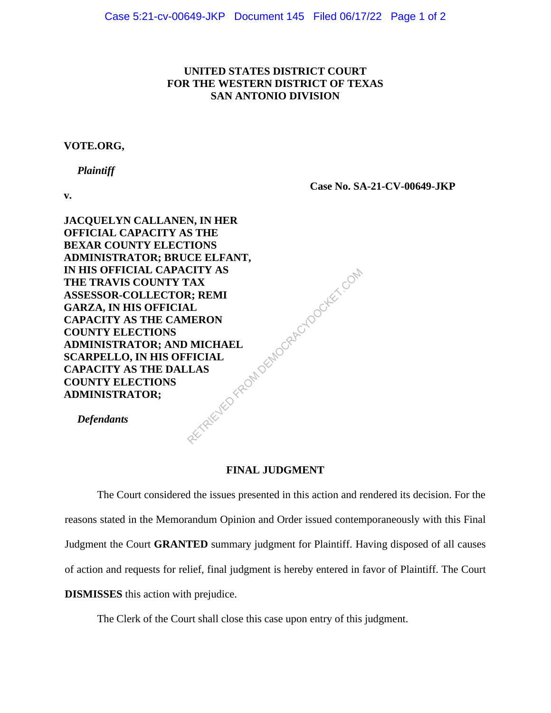## **UNITED STATES DISTRICT COURT FOR THE WESTERN DISTRICT OF TEXAS SAN ANTONIO DIVISION**

## **VOTE.ORG,**

 *Plaintiff*

**v.**

**Case No. SA-21-CV-00649-JKP**

**JACQUELYN CALLANEN, IN HER OFFICIAL CAPACITY AS THE BEXAR COUNTY ELECTIONS ADMINISTRATOR; BRUCE ELFANT, IN HIS OFFICIAL CAPACITY AS THE TRAVIS COUNTY TAX ASSESSOR-COLLECTOR; REMI GARZA, IN HIS OFFICIAL CAPACITY AS THE CAMERON COUNTY ELECTIONS ADMINISTRATOR; AND MICHAEL SCARPELLO, IN HIS OFFICIAL CAPACITY AS THE DALLAS COUNTY ELECTIONS ADMINISTRATOR;** RETRIEVED FROM DEMOCRACYDOCKET.COM

 *Defendants*

## **FINAL JUDGMENT**

The Court considered the issues presented in this action and rendered its decision. For the reasons stated in the Memorandum Opinion and Order issued contemporaneously with this Final Judgment the Court **GRANTED** summary judgment for Plaintiff. Having disposed of all causes of action and requests for relief, final judgment is hereby entered in favor of Plaintiff. The Court **DISMISSES** this action with prejudice.

The Clerk of the Court shall close this case upon entry of this judgment.